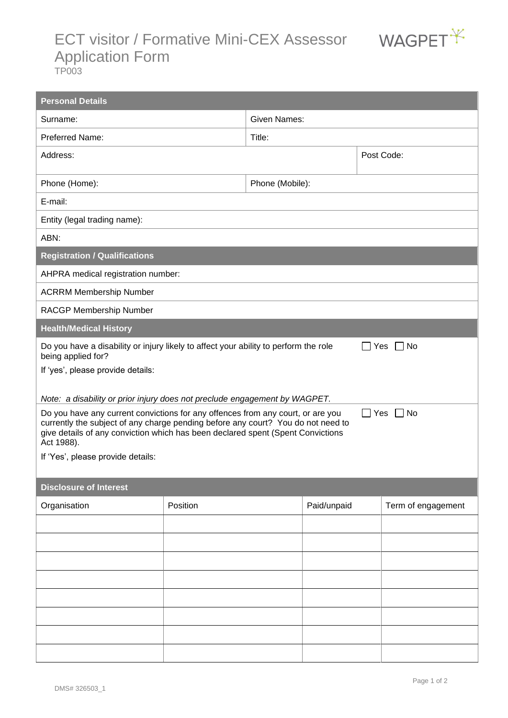## ECT visitor / Formative Mini-CEX Assessor WAGPET<sup>Y</sup> Application Form



TP003

| <b>Personal Details</b>                                                                                                                                                                                                                                                                      |          |                     |             |  |                    |  |  |  |
|----------------------------------------------------------------------------------------------------------------------------------------------------------------------------------------------------------------------------------------------------------------------------------------------|----------|---------------------|-------------|--|--------------------|--|--|--|
| Surname:                                                                                                                                                                                                                                                                                     |          | <b>Given Names:</b> |             |  |                    |  |  |  |
| Preferred Name:                                                                                                                                                                                                                                                                              |          | Title:              |             |  |                    |  |  |  |
| Address:                                                                                                                                                                                                                                                                                     |          | Post Code:          |             |  |                    |  |  |  |
| Phone (Home):                                                                                                                                                                                                                                                                                |          | Phone (Mobile):     |             |  |                    |  |  |  |
| E-mail:                                                                                                                                                                                                                                                                                      |          |                     |             |  |                    |  |  |  |
| Entity (legal trading name):                                                                                                                                                                                                                                                                 |          |                     |             |  |                    |  |  |  |
| ABN:                                                                                                                                                                                                                                                                                         |          |                     |             |  |                    |  |  |  |
| <b>Registration / Qualifications</b>                                                                                                                                                                                                                                                         |          |                     |             |  |                    |  |  |  |
| AHPRA medical registration number:                                                                                                                                                                                                                                                           |          |                     |             |  |                    |  |  |  |
| <b>ACRRM Membership Number</b>                                                                                                                                                                                                                                                               |          |                     |             |  |                    |  |  |  |
| RACGP Membership Number                                                                                                                                                                                                                                                                      |          |                     |             |  |                    |  |  |  |
| <b>Health/Medical History</b>                                                                                                                                                                                                                                                                |          |                     |             |  |                    |  |  |  |
| Do you have a disability or injury likely to affect your ability to perform the role<br>No<br>Yes<br>$\perp$<br>being applied for?                                                                                                                                                           |          |                     |             |  |                    |  |  |  |
| If 'yes', please provide details:                                                                                                                                                                                                                                                            |          |                     |             |  |                    |  |  |  |
| Note: a disability or prior injury does not preclude engagement by WAGPET.                                                                                                                                                                                                                   |          |                     |             |  |                    |  |  |  |
| Do you have any current convictions for any offences from any court, or are you<br>$\Box$ Yes $\Box$ No<br>currently the subject of any charge pending before any court? You do not need to<br>give details of any conviction which has been declared spent (Spent Convictions<br>Act 1988). |          |                     |             |  |                    |  |  |  |
| If 'Yes', please provide details:                                                                                                                                                                                                                                                            |          |                     |             |  |                    |  |  |  |
|                                                                                                                                                                                                                                                                                              |          |                     |             |  |                    |  |  |  |
| <b>Disclosure of Interest</b>                                                                                                                                                                                                                                                                |          |                     |             |  |                    |  |  |  |
| Organisation                                                                                                                                                                                                                                                                                 | Position |                     | Paid/unpaid |  | Term of engagement |  |  |  |
|                                                                                                                                                                                                                                                                                              |          |                     |             |  |                    |  |  |  |
|                                                                                                                                                                                                                                                                                              |          |                     |             |  |                    |  |  |  |
|                                                                                                                                                                                                                                                                                              |          |                     |             |  |                    |  |  |  |
|                                                                                                                                                                                                                                                                                              |          |                     |             |  |                    |  |  |  |
|                                                                                                                                                                                                                                                                                              |          |                     |             |  |                    |  |  |  |
|                                                                                                                                                                                                                                                                                              |          |                     |             |  |                    |  |  |  |
|                                                                                                                                                                                                                                                                                              |          |                     |             |  |                    |  |  |  |
|                                                                                                                                                                                                                                                                                              |          |                     |             |  |                    |  |  |  |